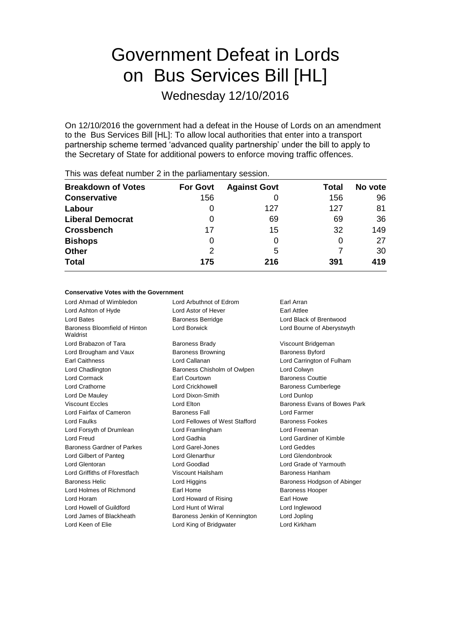# Government Defeat in Lords on Bus Services Bill [HL]

Wednesday 12/10/2016

On 12/10/2016 the government had a defeat in the House of Lords on an amendment to the Bus Services Bill [HL]: To allow local authorities that enter into a transport partnership scheme termed 'advanced quality partnership' under the bill to apply to the Secretary of State for additional powers to enforce moving traffic offences.

| <b>Breakdown of Votes</b> | <b>For Govt</b> | <b>Against Govt</b> | Total | No vote |
|---------------------------|-----------------|---------------------|-------|---------|
| <b>Conservative</b>       | 156             | 0                   | 156   | 96      |
| Labour                    | O               | 127                 | 127   | 81      |
| <b>Liberal Democrat</b>   | 0               | 69                  | 69    | 36      |
| <b>Crossbench</b>         | 17              | 15                  | 32    | 149     |
| <b>Bishops</b>            | 0               | 0                   | O     | 27      |
| <b>Other</b>              | 2               | 5                   |       | 30      |
| <b>Total</b>              | 175             | 216                 | 391   | 419     |
|                           |                 |                     |       |         |

This was defeat number 2 in the parliamentary session.

#### **Conservative Votes with the Government**

Lord Ahmad of Wimbledon Lord Arbuthnot of Edrom Earl Arran Lord Ashton of Hyde **Lord Astor of Hever** Earl Attlee Lord Bates **Baroness Berridge** Lord Black of Brentwood **Lord Black of Brentwood** Baroness Bloomfield of Hinton **Waldrist** Lord Borwick Lord Bourne of Aberystwyth Lord Brabazon of Tara **Baroness Brady Communist Constructs** Viscount Bridgeman Lord Brougham and Vaux **Baroness Browning** Baroness Byford Earl Caithness Lord Callanan Lord Carrington of Fulham Lord Chadlington Baroness Chisholm of Owlpen Lord Colwyn Lord Cormack Earl Courtown Baroness Couttie Lord Crathorne **Lord Crickhowell** Baroness Cumberlege **Lord Crickhowell** Lord De Mauley Lord Dixon-Smith Lord Dunlop Viscount Eccles **Lord Elton** Lord Elton Baroness Evans of Bowes Park Lord Fairfax of Cameron Baroness Fall Lord Farmer Lord Faulks Lord Fellowes of West Stafford Baroness Fookes Lord Forsyth of Drumlean Lord Framlingham Lord Freeman Lord Freud Lord Gadhia Lord Gardiner of Kimble Baroness Gardner of Parkes Lord Garel-Jones Lord Geddes Lord Gilbert of Panteg Lord Glenarthur Lord Glendonbrook Lord Glentoran Lord Goodlad Lord Grade of Yarmouth Lord Griffiths of Fforestfach Viscount Hailsham Baroness Hanham Baroness Helic **Lord Higgins** Lord Higgins Baroness Hodgson of Abinger Lord Holmes of Richmond Earl Home Earl Home Baroness Hooper Lord Horam **Lord Howard of Rising Farl Howe** Lord Howell of Guildford Lord Hunt of Wirral Lord Inglewood Lord James of Blackheath Baroness Jenkin of Kennington Lord Jopling Lord Keen of Elie **Lord King of Bridgwater** Lord Kirkham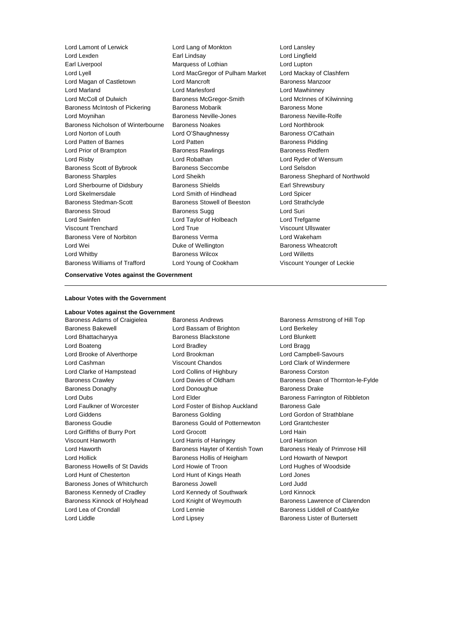Lord Lamont of Lerwick Lord Lang of Monkton Lord Lansley Lord Lexden Earl Lindsay Lord Lingfield Earl Liverpool Marquess of Lothian Lord Lupton Lord Lyell Lord MacGregor of Pulham Market Lord Mackay of Clashfern Lord Magan of Castletown **Lord Mancroft Baroness Manzoor** Baroness Manzoor Lord Marland Lord Marlesford Lord Mawhinney Lord McColl of Dulwich Baroness McGregor-Smith Lord McInnes of Kilwinning Baroness McIntosh of Pickering Baroness Mobarik Baroness Mone Lord Moynihan **Baroness Neville-Jones** Baroness Neville-Rolfe Baroness Nicholson of Winterbourne Baroness Noakes Lord Northbrook Lord Norton of Louth **Lord O'Shaughnessy** Baroness O'Cathain Lord Patten of Barnes **Lord Patten Communist Communist Patten** Baroness Pidding Lord Prior of Brampton **Baroness Rawlings** Baroness Redfern Lord Risby Lord Robathan Lord Ryder of Wensum Baroness Scott of Bybrook Baroness Seccombe Lord Selsdon Baroness Sharples **Lord Sheikh** Baroness Shephard of Northwold Lord Sherbourne of Didsbury **Baroness Shields** Earl Shrewsbury Lord Skelmersdale Lord Smith of Hindhead Lord Spicer Baroness Stedman-Scott Baroness Stowell of Beeston Lord Strathclyde Baroness Stroud **Baroness Sugg Community** Baroness Sugg Community Lord Suri Lord Swinfen Lord Taylor of Holbeach Lord Trefgarne Viscount Trenchard Lord True Viscount Ullswater Baroness Vere of Norbiton Baroness Verma Lord Wakeham Lord Wei **Duke of Wellington** Baroness Wheatcroft **Duke** of Wellington Lord Whitby Baroness Wilcox Lord Willetts Baroness Williams of Trafford Lord Young of Cookham Viscount Younger of Leckie

#### **Conservative Votes against the Government**

#### **Labour Votes with the Government**

#### **Labour Votes against the Government**

Baroness Bakewell Lord Bassam of Brighton Lord Berkeley Lord Bhattacharyya Baroness Blackstone Lord Blunkett Lord Boateng Lord Bradley Lord Bragg Lord Brooke of Alverthorpe Lord Brookman Lord Campbell-Savours Lord Cashman Viscount Chandos Lord Clark of Windermere Lord Clarke of Hampstead Lord Collins of Highbury Baroness Corston Baroness Donaghy Lord Donoughue Baroness Drake Lord Faulkner of Worcester Lord Foster of Bishop Auckland Baroness Gale Lord Giddens Baroness Golding Lord Gordon of Strathblane Baroness Goudie Baroness Gould of Potternewton Lord Grantchester Lord Griffiths of Burry Port Lord Grocott Lord Hain Viscount Hanworth Lord Harris of Haringey Lord Harrison Lord Haworth **Baroness Hayter of Kentish Town** Baroness Healy of Primrose Hill Lord Hollick **Baroness Hollis of Heigham** Lord Howarth of Newport Baroness Howells of St Davids Lord Howie of Troon Lord Hughes of Woodside Lord Hunt of Chesterton Lord Hunt of Kings Heath Lord Jones Baroness Jones of Whitchurch Baroness Jowell Lord Judd Baroness Kennedy of Cradley Lord Kennedy of Southwark Lord Kinnock Lord Lea of Crondall Lord Lennie Baroness Liddell of Coatdyke Lord Liddle Lord Lipsey Baroness Lister of Burtersett

Baroness Adams of Craigielea Baroness Andrews Baroness Armstrong of Hill Top

Baroness Crawley **Carroll** Cram Baroness Dean of Thornton-le-Fylde **Baroness Dean of Thornton-le-Fylde** Lord Dubs Lord Elder Baroness Farrington of Ribbleton Baroness Kinnock of Holyhead Lord Knight of Weymouth Baroness Lawrence of Clarendon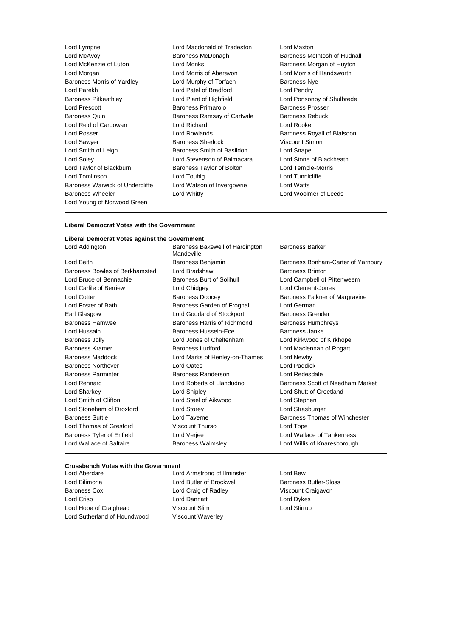Lord Lympne Lord Macdonald of Tradeston Lord Maxton Lord McAvoy Baroness McDonagh Baroness McIntosh of Hudnall Lord McKenzie of Luton **Lord Monks Lord Monks** Baroness Morgan of Huyton Lord Morgan Lord Morris of Aberavon Lord Morris of Handsworth Baroness Morris of Yardley **Lord Murphy of Torfaen** Baroness Nye Lord Parekh Lord Patel of Bradford Lord Pendry Baroness Pitkeathley Lord Plant of Highfield Lord Ponsonby of Shulbrede Lord Prescott **Baroness Primarolo** Baroness Prosser Baroness Quin **Baroness Ramsay of Cartvale** Baroness Rebuck Lord Reid of Cardowan Lord Richard Lord Rooker Lord Rosser **Lord Rowlands Baroness Royall of Blaisdon** Lord Sawyer **Baroness Sherlock Communist Structure Viscount Simon** Lord Smith of Leigh Baroness Smith of Basildon Lord Snape Lord Soley Lord Stevenson of Balmacara Lord Stone of Blackheath Lord Taylor of Blackburn Baroness Taylor of Bolton Lord Temple-Morris Lord Tomlinson Lord Touhig Lord Tunnicliffe Baroness Warwick of Undercliffe Lord Watson of Invergowrie Lord Watts Baroness Wheeler Lord Whitty Lord Woolmer of Leeds Lord Young of Norwood Green

#### **Liberal Democrat Votes with the Government**

#### **Liberal Democrat Votes against the Government**

Lord Beith **Baroness Benjamin** Baroness Banjamin Baroness Bonham-Carter of Yarnbury Baroness Bowles of Berkhamsted Lord Bradshaw Baroness Brinton Lord Bruce of Bennachie **Baroness Burt of Solihull Lord Campbell of Pittenweem** Lord Carlile of Berriew Lord Chidgey Lord Clement-Jones Lord Cotter **Baroness Doocey** Baroness Doocey Baroness Falkner of Margravine Lord Foster of Bath Baroness Garden of Frognal Lord German Earl Glasgow **Lord Goddard of Stockport** Baroness Grender Baroness Hamwee Baroness Harris of Richmond Baroness Humphreys Lord Hussain **Baroness Hussein-Ece** Baroness Janke Baroness Jolly Lord Jones of Cheltenham Lord Kirkwood of Kirkhope Baroness Kramer **Baroness Ludford** Lord Maclennan of Rogart Baroness Ludford Lord Maclennan of Rogart Baroness Maddock Lord Marks of Henley-on-Thames Lord Newby Baroness Northover Lord Oates Lord Paddick Baroness Parminter Baroness Randerson Lord Redesdale Lord Rennard Lord Roberts of Llandudno Baroness Scott of Needham Market Lord Sharkey Lord Shipley Lord Shutt of Greetland Lord Smith of Clifton **Lord Steel of Aikwood** Lord Stephen Lord Stoneham of Droxford Lord Storey Lord Strasburger Baroness Suttie **Lord Taverne Lord Taverne Baroness Thomas of Winchester** Lord Thomas of Gresford Viscount Thurso Correspondent Lord Tope Baroness Tyler of Enfield Lord Verjee Lord Wallace of Tankerness Lord Wallace of Saltaire **Baroness Walmsley Lord Willis of Knaresborough** Lord Willis of Knaresborough

Lord Addington **Baroness Bakewell of Hardington** Mandeville

Baroness Barker

#### **Crossbench Votes with the Government**

Lord Bilimoria **Lord Butler of Brockwell** Baroness Butler-Sloss Baroness Cox Lord Craig of Radley Viscount Craigavon Lord Crisp Lord Dannatt Lord Dykes Lord Hope of Craighead Viscount Slim Lord Stirrup Lord Sutherland of Houndwood Viscount Waverley

Lord Aberdare Lord Armstrong of Ilminster Lord Bew